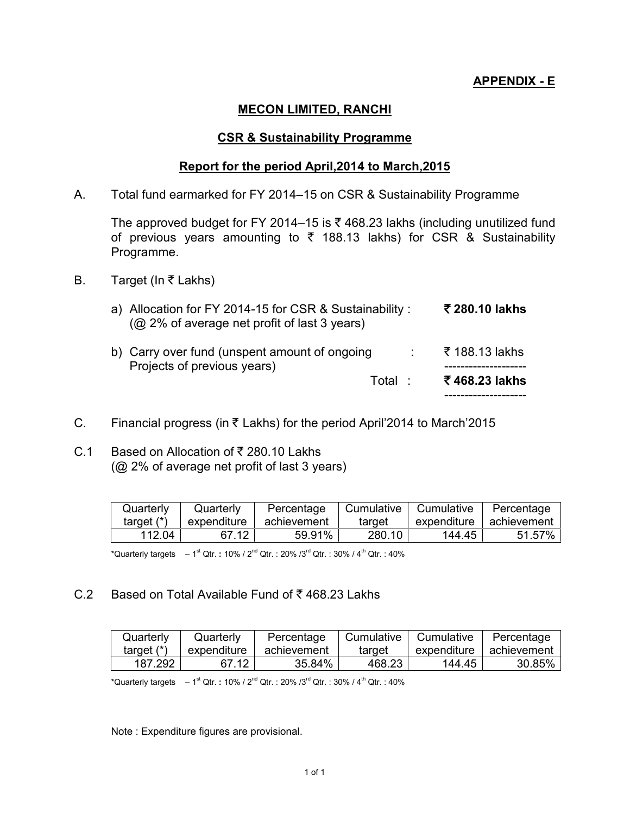### **APPENDIX - E**

### **MECON LIMITED, RANCHI**

#### **CSR & Sustainability Programme**

#### **Report for the period April,2014 to March,2015**

A. Total fund earmarked for FY 2014–15 on CSR & Sustainability Programme

The approved budget for FY 2014–15 is  $\bar{\tau}$  468.23 lakhs (including unutilized fund of previous years amounting to  $\bar{\tau}$  188.13 lakhs) for CSR & Sustainability Programme.

B. Target (In  $\bar{\tau}$  Lakhs)

| a) Allocation for FY 2014-15 for CSR & Sustainability :<br>(@ 2% of average net profit of last 3 years) |         | ₹ 280.10 lakhs                  |
|---------------------------------------------------------------------------------------------------------|---------|---------------------------------|
| b) Carry over fund (unspent amount of ongoing<br>Projects of previous years)                            | Total : | ₹ 188.13 lakhs<br>₹468.23 lakhs |
|                                                                                                         |         |                                 |

- C. Financial progress (in ₹ Lakhs) for the period April'2014 to March'2015
- C.1 Based on Allocation of ₹ 280.10 Lakhs (@ 2% of average net profit of last 3 years)

| Quarterly    | Quarterly   | Percentage  | Cumulative | Cumulative  | Percentage  |
|--------------|-------------|-------------|------------|-------------|-------------|
| target $(*)$ | expenditure | achievement | target     | expenditure | achievement |
| 112.04       | 67.12       | 59.91%      | 280.10     | 144.45      | 51.57%      |

\*Quarterly targets – 1<sup>st</sup> Qtr.:10% / 2<sup>nd</sup> Qtr.:20% /3<sup>rd</sup> Qtr.:30% / 4<sup>th</sup> Qtr.:40%

C.2 Based on Total Available Fund of  $\bar{\bar{\xi}}$  468.23 Lakhs

| Quarterly    | Quarterly   | Percentage  | ' Cumulative | Cumulative  | Percentage  |
|--------------|-------------|-------------|--------------|-------------|-------------|
| target $(*)$ | expenditure | achievement | target       | expenditure | achievement |
| 187.292      | 67.12       | 35.84%      | 468.23       | 144.45      | 30.85%      |

\*Quarterly targets – 1<sup>st</sup> Qtr.:10% / 2<sup>nd</sup> Qtr.:20% /3<sup>rd</sup> Qtr.:30% / 4<sup>th</sup> Qtr.:40%

Note : Expenditure figures are provisional.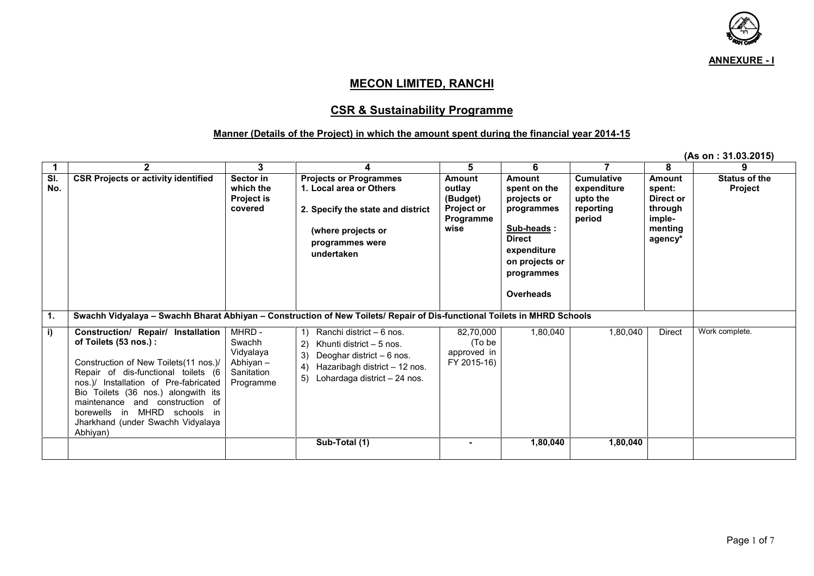

**(As on : 31.03.2015)**

#### **MECON LIMITED, RANCHI**

#### **CSR & Sustainability Programme**

#### **Manner (Details of the Project) in which the amount spent during the financial year 2014-15**

**1 2 3 4 5 6 7 8 9 Sl. No. CSR Projects or activity identified Sector in which the Project is covered Projects or Programmes 1. Local area or Others 2. Specify the state and district (where projects or programmes were undertaken Amount outlay (Budget) Project or Programme wise Amount spent on the projects or programmes Sub-heads : 1. Direct expenditure on projects or programmes 2. Overheads Cumulative expenditure upto the reporting period Amount spent: Direct or through imple menting agency\* Status of the Project 1. Swachh Vidyalaya – Swachh Bharat Abhiyan – Construction of New Toilets/ Repair of Dis-functional Toilets in MHRD Schools i) Construction/ Repair/ Installation of Toilets (53 nos.) :** Construction of New Toilets(11 nos.)/ Repair of dis-functional toilets (6 nos.)/ Installation of Pre-fabricated Bio Toilets (36 nos.) alongwith its maintenance and construction of borewells in MHRD schools in Jharkhand (under Swachh Vidyalaya Abhiyan) MHRD - Swachh Vidyalaya Abhiyan – **Sanitation** Programme 1) Ranchi district – 6 nos. 2) Khunti district – 5 nos. 3) Deoghar district – 6 nos. 4) Hazaribagh district – 12 nos. 5) Lohardaga district – 24 nos. 82.70.000 1.80.040 (To be approved in FY 2015-16) 1,80,040 Direct Work complete. **Sub-Total (1) - 1,80,040 1,80,040**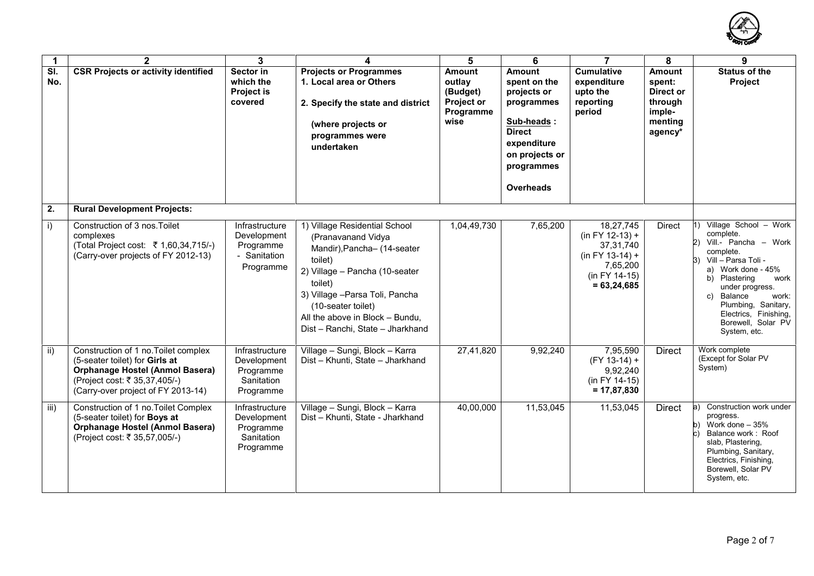

| $\mathbf 1$  | $\mathbf{2}$                                                                                                                                                                            | 3                                                                       | 4                                                                                                                                                                                                                                                                          | 5                                                                             | 6                                                                                                                                                     | $\overline{7}$                                                                                                     | 8                                                                               | 9                                                                                                                                                                                                                                                                                            |
|--------------|-----------------------------------------------------------------------------------------------------------------------------------------------------------------------------------------|-------------------------------------------------------------------------|----------------------------------------------------------------------------------------------------------------------------------------------------------------------------------------------------------------------------------------------------------------------------|-------------------------------------------------------------------------------|-------------------------------------------------------------------------------------------------------------------------------------------------------|--------------------------------------------------------------------------------------------------------------------|---------------------------------------------------------------------------------|----------------------------------------------------------------------------------------------------------------------------------------------------------------------------------------------------------------------------------------------------------------------------------------------|
| SI.<br>No.   | <b>CSR Projects or activity identified</b>                                                                                                                                              | Sector in<br>which the<br><b>Project is</b><br>covered                  | <b>Projects or Programmes</b><br>1. Local area or Others<br>2. Specify the state and district<br>(where projects or<br>programmes were<br>undertaken                                                                                                                       | <b>Amount</b><br>outlay<br>(Budget)<br><b>Project or</b><br>Programme<br>wise | <b>Amount</b><br>spent on the<br>projects or<br>programmes<br>Sub-heads:<br><b>Direct</b><br>expenditure<br>on projects or<br>programmes<br>Overheads | <b>Cumulative</b><br>expenditure<br>upto the<br>reporting<br>period                                                | <b>Amount</b><br>spent:<br>Direct or<br>through<br>imple-<br>menting<br>agency* | <b>Status of the</b><br>Project                                                                                                                                                                                                                                                              |
| 2.           | <b>Rural Development Projects:</b>                                                                                                                                                      |                                                                         |                                                                                                                                                                                                                                                                            |                                                                               |                                                                                                                                                       |                                                                                                                    |                                                                                 |                                                                                                                                                                                                                                                                                              |
| $\mathbf{i}$ | Construction of 3 nos. Toilet<br>complexes<br>(Total Project cost: ₹ 1,60,34,715/-)<br>(Carry-over projects of FY 2012-13)                                                              | Infrastructure<br>Development<br>Programme<br>- Sanitation<br>Programme | 1) Village Residential School<br>(Pranavanand Vidya<br>Mandir), Pancha- (14-seater<br>toilet)<br>2) Village - Pancha (10-seater<br>toilet)<br>3) Village - Parsa Toli, Pancha<br>(10-seater toilet)<br>All the above in Block - Bundu,<br>Dist - Ranchi, State - Jharkhand | 1,04,49,730                                                                   | 7,65,200                                                                                                                                              | 18,27,745<br>$(in FY 12-13) +$<br>37, 31, 740<br>$(in FY 13-14) +$<br>7,65,200<br>(in FY 14-15)<br>$= 63, 24, 685$ | <b>Direct</b>                                                                   | 1) Village School - Work<br>complete.<br>Vill.- Pancha - Work<br>2)<br>complete.<br>Vill - Parsa Toli -<br>Work done - 45%<br>a)<br>b) Plastering<br>work<br>under progress.<br>Balance<br>work:<br>C)<br>Plumbing, Sanitary,<br>Electrics, Finishing,<br>Borewell, Solar PV<br>System, etc. |
| ii)          | Construction of 1 no. Toilet complex<br>(5-seater toilet) for Girls at<br><b>Orphanage Hostel (Anmol Basera)</b><br>(Project cost: ₹ 35,37,405/-)<br>(Carry-over project of FY 2013-14) | Infrastructure<br>Development<br>Programme<br>Sanitation<br>Programme   | Village - Sungi, Block - Karra<br>Dist - Khunti, State - Jharkhand                                                                                                                                                                                                         | 27,41,820                                                                     | 9,92,240                                                                                                                                              | 7,95,590<br>$(FY 13-14) +$<br>9,92,240<br>(in FY 14-15)<br>$= 17,87,830$                                           | <b>Direct</b>                                                                   | Work complete<br>(Except for Solar PV<br>System)                                                                                                                                                                                                                                             |
| iii)         | Construction of 1 no. Toilet Complex<br>(5-seater toilet) for Boys at<br><b>Orphanage Hostel (Anmol Basera)</b><br>(Project cost: ₹ 35,57,005/-)                                        | Infrastructure<br>Development<br>Programme<br>Sanitation<br>Programme   | Village - Sungi, Block - Karra<br>Dist - Khunti, State - Jharkhand                                                                                                                                                                                                         | 40,00,000                                                                     | 11,53,045                                                                                                                                             | 11,53,045                                                                                                          | <b>Direct</b>                                                                   | Construction work under<br>a)<br>progress.<br>Work done $-35%$<br>b)<br>Balance work: Roof<br>slab, Plastering,<br>Plumbing, Sanitary,<br>Electrics, Finishing,<br>Borewell, Solar PV<br>System, etc.                                                                                        |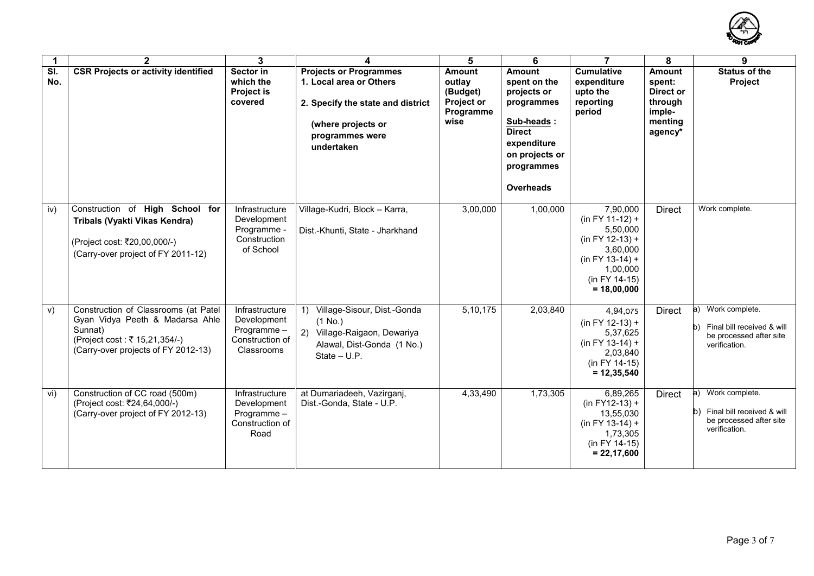

| $\mathbf 1$                     | $\mathbf{2}$                                                                                                                                                | $\mathbf{3}$                                                                 | 4                                                                                                                                                                       | 5                                                                             | 6                                                                                                                                                            | $\overline{7}$                                                                                                                                | 8                                                                               | 9                                                                                              |
|---------------------------------|-------------------------------------------------------------------------------------------------------------------------------------------------------------|------------------------------------------------------------------------------|-------------------------------------------------------------------------------------------------------------------------------------------------------------------------|-------------------------------------------------------------------------------|--------------------------------------------------------------------------------------------------------------------------------------------------------------|-----------------------------------------------------------------------------------------------------------------------------------------------|---------------------------------------------------------------------------------|------------------------------------------------------------------------------------------------|
| $\overline{\mathsf{SI}}$<br>No. | <b>CSR Projects or activity identified</b>                                                                                                                  | Sector in<br>which the<br><b>Project is</b><br>covered                       | <b>Projects or Programmes</b><br>1. Local area or Others<br>2. Specify the state and district<br>(where projects or<br>programmes were<br>undertaken                    | <b>Amount</b><br>outlay<br>(Budget)<br><b>Project or</b><br>Programme<br>wise | <b>Amount</b><br>spent on the<br>projects or<br>programmes<br>Sub-heads:<br><b>Direct</b><br>expenditure<br>on projects or<br>programmes<br><b>Overheads</b> | <b>Cumulative</b><br>expenditure<br>upto the<br>reporting<br>period                                                                           | <b>Amount</b><br>spent:<br>Direct or<br>through<br>imple-<br>menting<br>agency* | <b>Status of the</b><br><b>Project</b>                                                         |
| iv)                             | Construction of High School for<br>Tribals (Vyakti Vikas Kendra)<br>(Project cost: ₹20,00,000/-)<br>(Carry-over project of FY 2011-12)                      | Infrastructure<br>Development<br>Programme -<br>Construction<br>of School    | Village-Kudri, Block - Karra,<br>Dist.-Khunti, State - Jharkhand                                                                                                        | 3,00,000                                                                      | 1,00,000                                                                                                                                                     | 7,90,000<br>$(in FY 11-12) +$<br>5,50,000<br>$(in FY 12-13) +$<br>3.60.000<br>$(in FY 13-14) +$<br>1,00,000<br>(in FY 14-15)<br>$= 18,00,000$ | <b>Direct</b>                                                                   | Work complete.                                                                                 |
| V)                              | Construction of Classrooms (at Patel<br>Gyan Vidya Peeth & Madarsa Ahle<br>Sunnat)<br>(Project cost : ₹ 15,21,354/-)<br>(Carry-over projects of FY 2012-13) | Infrastructure<br>Development<br>Programme-<br>Construction of<br>Classrooms | Village-Sisour, Dist.-Gonda<br>$\left( \begin{matrix} 1 \end{matrix} \right)$<br>$(1$ No.)<br>Village-Raigaon, Dewariya<br>Alawal, Dist-Gonda (1 No.)<br>$State - U.P.$ | 5,10,175                                                                      | 2,03,840                                                                                                                                                     | 4,94,075<br>$(in FY 12-13) +$<br>5,37,625<br>$(in FY 13-14) +$<br>2,03,840<br>(in FY 14-15)<br>$= 12,35,540$                                  | <b>Direct</b>                                                                   | a) Work complete.<br>Final bill received & will<br>be processed after site<br>verification.    |
| vi)                             | Construction of CC road (500m)<br>(Project cost: ₹24,64,000/-)<br>(Carry-over project of FY 2012-13)                                                        | Infrastructure<br>Development<br>Programme-<br>Construction of<br>Road       | at Dumariadeeh, Vazirganj,<br>Dist.-Gonda, State - U.P.                                                                                                                 | 4,33,490                                                                      | 1,73,305                                                                                                                                                     | 6,89,265<br>$(in FY12-13) +$<br>13,55,030<br>$(in FY 13-14) +$<br>1,73,305<br>(in FY 14-15)<br>$= 22,17,600$                                  | <b>Direct</b>                                                                   | a) Work complete.<br>b) Final bill received & will<br>be processed after site<br>verification. |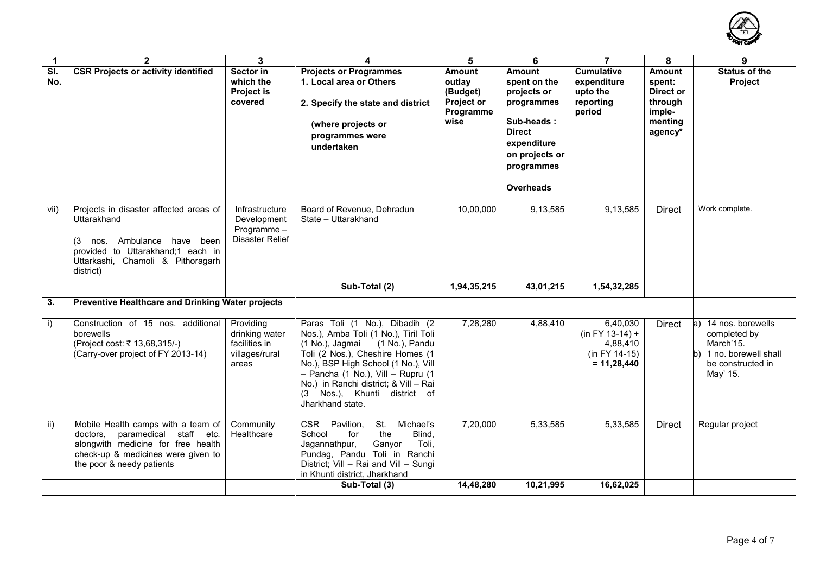

| $\mathbf{1}$  | $\mathbf{2}$                                                                                                                                                                         | 3                                                                       | 4                                                                                                                                                                                                                                                                                                                            | 5                                                                             | 6                                                                                                                                                            | $\overline{7}$                                                              | 8                                                                               | 9                                                                                                             |
|---------------|--------------------------------------------------------------------------------------------------------------------------------------------------------------------------------------|-------------------------------------------------------------------------|------------------------------------------------------------------------------------------------------------------------------------------------------------------------------------------------------------------------------------------------------------------------------------------------------------------------------|-------------------------------------------------------------------------------|--------------------------------------------------------------------------------------------------------------------------------------------------------------|-----------------------------------------------------------------------------|---------------------------------------------------------------------------------|---------------------------------------------------------------------------------------------------------------|
| SI.<br>No.    | <b>CSR Projects or activity identified</b>                                                                                                                                           | Sector in<br>which the<br><b>Project is</b><br>covered                  | <b>Projects or Programmes</b><br>1. Local area or Others<br>2. Specify the state and district<br>(where projects or<br>programmes were<br>undertaken                                                                                                                                                                         | <b>Amount</b><br>outlay<br>(Budget)<br><b>Project or</b><br>Programme<br>wise | <b>Amount</b><br>spent on the<br>projects or<br>programmes<br>Sub-heads:<br><b>Direct</b><br>expenditure<br>on projects or<br>programmes<br><b>Overheads</b> | <b>Cumulative</b><br>expenditure<br>upto the<br>reporting<br>period         | <b>Amount</b><br>spent:<br>Direct or<br>through<br>imple-<br>menting<br>agency* | <b>Status of the</b><br>Project                                                                               |
| vii)          | Projects in disaster affected areas of<br>Uttarakhand<br>Ambulance have<br>been<br>(3<br>nos.<br>provided to Uttarakhand;1 each in<br>Uttarkashi, Chamoli & Pithoragarh<br>district) | Infrastructure<br>Development<br>Programme-<br>Disaster Relief          | Board of Revenue, Dehradun<br>State - Uttarakhand                                                                                                                                                                                                                                                                            | 10,00,000                                                                     | 9,13,585                                                                                                                                                     | 9,13,585                                                                    | <b>Direct</b>                                                                   | Work complete.                                                                                                |
|               |                                                                                                                                                                                      |                                                                         | Sub-Total (2)                                                                                                                                                                                                                                                                                                                | 1,94,35,215                                                                   | 43,01,215                                                                                                                                                    | 1,54,32,285                                                                 |                                                                                 |                                                                                                               |
| 3.            | Preventive Healthcare and Drinking Water projects                                                                                                                                    |                                                                         |                                                                                                                                                                                                                                                                                                                              |                                                                               |                                                                                                                                                              |                                                                             |                                                                                 |                                                                                                               |
| i)            | Construction of 15 nos. additional<br>borewells<br>(Project cost: ₹ 13,68,315/-)<br>(Carry-over project of FY 2013-14)                                                               | Providing<br>drinking water<br>facilities in<br>villages/rural<br>areas | Paras Toli (1 No.), Dibadih (2<br>Nos.), Amba Toli (1 No.), Tiril Toli<br>(1 No.), Pandu<br>(1 No.), Jagmai<br>Toli (2 Nos.), Cheshire Homes (1<br>No.), BSP High School (1 No.), Vill<br>- Pancha (1 No.), Vill - Rupru (1<br>No.) in Ranchi district; & Vill - Rai<br>Nos.), Khunti district of<br>(3)<br>Jharkhand state. | 7,28,280                                                                      | 4,88,410                                                                                                                                                     | 6,40,030<br>$(in FY 13-14) +$<br>4,88,410<br>(in FY 14-15)<br>$= 11,28,440$ | Direct                                                                          | a) 14 nos. borewells<br>completed by<br>March'15.<br>b) 1 no. borewell shall<br>be constructed in<br>May' 15. |
| $\mathsf{ii}$ | Mobile Health camps with a team of<br>doctors, paramedical staff etc.<br>alongwith medicine for free health<br>check-up & medicines were given to<br>the poor & needy patients       | Community<br>Healthcare                                                 | St.<br>Michael's<br><b>CSR</b><br>Pavilion,<br>Blind,<br>School<br>for<br>the<br>Ganyor<br>Toli,<br>Jagannathpur,<br>Pundag, Pandu Toli in Ranchi<br>District; Vill - Rai and Vill - Sungi<br>in Khunti district, Jharkhand                                                                                                  | 7,20,000                                                                      | 5,33,585                                                                                                                                                     | 5,33,585                                                                    | <b>Direct</b>                                                                   | Regular project                                                                                               |
|               |                                                                                                                                                                                      |                                                                         | Sub-Total (3)                                                                                                                                                                                                                                                                                                                | 14,48,280                                                                     | 10,21,995                                                                                                                                                    | 16,62,025                                                                   |                                                                                 |                                                                                                               |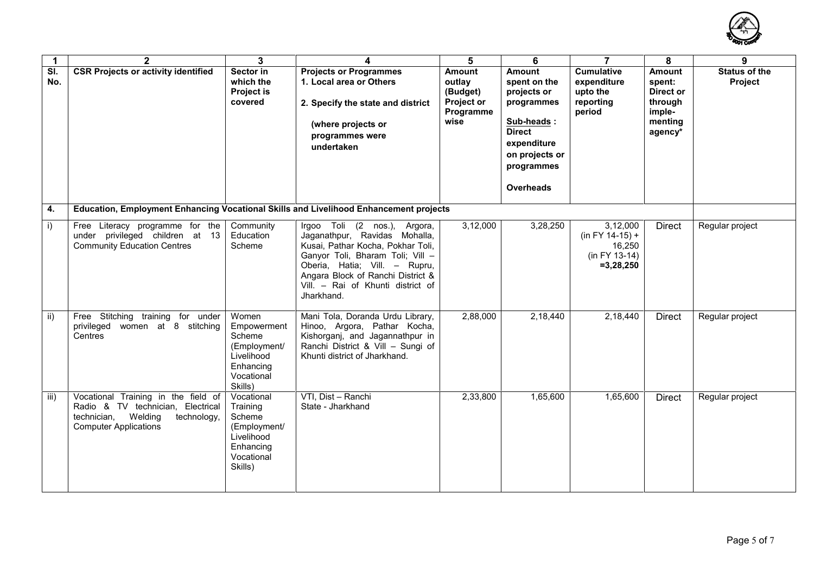

| 1            | $\mathbf{2}$                                                                                                                                      | 3                                                                                                    | 4                                                                                                                                                                                                                                                               | 5                                                                      | 6                                                                                                                                                     | $\overline{7}$                                                             | 8                                                                               | 9                               |
|--------------|---------------------------------------------------------------------------------------------------------------------------------------------------|------------------------------------------------------------------------------------------------------|-----------------------------------------------------------------------------------------------------------------------------------------------------------------------------------------------------------------------------------------------------------------|------------------------------------------------------------------------|-------------------------------------------------------------------------------------------------------------------------------------------------------|----------------------------------------------------------------------------|---------------------------------------------------------------------------------|---------------------------------|
| SI.<br>No.   | <b>CSR Projects or activity identified</b>                                                                                                        | Sector in<br>which the<br><b>Project is</b><br>covered                                               | <b>Projects or Programmes</b><br>1. Local area or Others<br>2. Specify the state and district<br>(where projects or<br>programmes were<br>undertaken                                                                                                            | Amount<br>outlay<br>(Budget)<br><b>Project or</b><br>Programme<br>wise | <b>Amount</b><br>spent on the<br>projects or<br>programmes<br>Sub-heads:<br><b>Direct</b><br>expenditure<br>on projects or<br>programmes<br>Overheads | <b>Cumulative</b><br>expenditure<br>upto the<br>reporting<br>period        | <b>Amount</b><br>spent:<br>Direct or<br>through<br>imple-<br>menting<br>agency* | <b>Status of the</b><br>Project |
| 4.           | Education, Employment Enhancing Vocational Skills and Livelihood Enhancement projects                                                             |                                                                                                      |                                                                                                                                                                                                                                                                 |                                                                        |                                                                                                                                                       |                                                                            |                                                                                 |                                 |
| $\mathsf{i}$ | Free Literacy programme for the<br>under privileged children at 13<br><b>Community Education Centres</b>                                          | Community<br>Education<br>Scheme                                                                     | Irgoo Toli (2 nos.), Argora,<br>Jaganathpur, Ravidas Mohalla,<br>Kusai, Pathar Kocha, Pokhar Toli,<br>Ganyor Toli, Bharam Toli; Vill -<br>Oberia, Hatia; Vill. - Rupru,<br>Angara Block of Ranchi District &<br>Vill. - Rai of Khunti district of<br>Jharkhand. | 3,12,000                                                               | 3,28,250                                                                                                                                              | 3,12,000<br>$(in FY 14-15) +$<br>16,250<br>(in FY 13-14)<br>$= 3, 28, 250$ | <b>Direct</b>                                                                   | Regular project                 |
| ii)          | Free Stitching training for under<br>privileged women at 8 stitching<br>Centres                                                                   | Women<br>Empowerment<br>Scheme<br>(Employment/<br>Livelihood<br>Enhancing<br>Vocational<br>Skills)   | Mani Tola, Doranda Urdu Library,<br>Hinoo, Argora, Pathar Kocha,<br>Kishorganj, and Jagannathpur in<br>Ranchi District & Vill - Sungi of<br>Khunti district of Jharkhand.                                                                                       | 2,88,000                                                               | 2,18,440                                                                                                                                              | 2,18,440                                                                   | <b>Direct</b>                                                                   | Regular project                 |
| iii)         | Vocational Training in the field of<br>Radio & TV technician, Electrical<br>technician,<br>Welding<br>technology,<br><b>Computer Applications</b> | Vocational<br>Training<br>Scheme<br>(Employment/<br>Livelihood<br>Enhancing<br>Vocational<br>Skills) | VTI, Dist - Ranchi<br>State - Jharkhand                                                                                                                                                                                                                         | 2,33,800                                                               | 1,65,600                                                                                                                                              | 1,65,600                                                                   | <b>Direct</b>                                                                   | Regular project                 |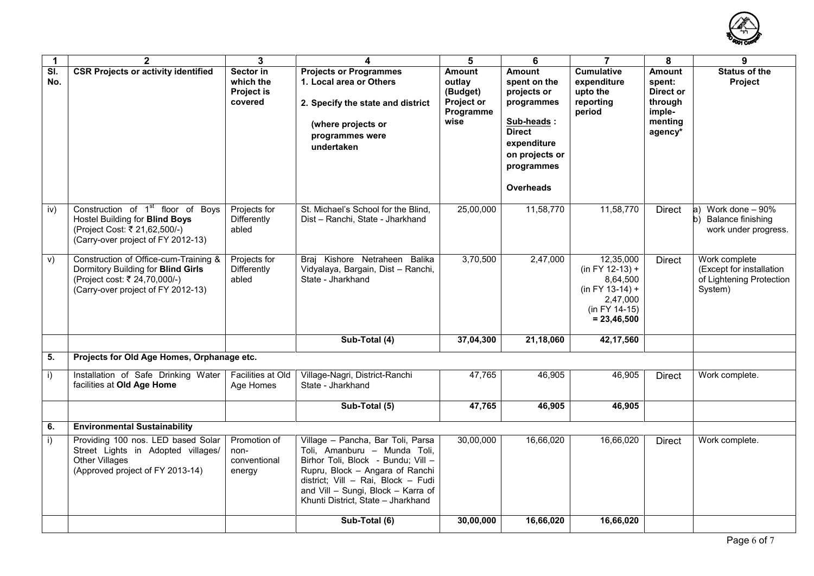

| $\mathbf{1}$ | $\mathbf{2}$                                                                                                                                           | 3                                                      | 4                                                                                                                                                                                                                                                            | 5                                                                      | 6                                                                                                                                                            | $\overline{7}$                                                                                                | 8                                                                               | 9                                                                                        |
|--------------|--------------------------------------------------------------------------------------------------------------------------------------------------------|--------------------------------------------------------|--------------------------------------------------------------------------------------------------------------------------------------------------------------------------------------------------------------------------------------------------------------|------------------------------------------------------------------------|--------------------------------------------------------------------------------------------------------------------------------------------------------------|---------------------------------------------------------------------------------------------------------------|---------------------------------------------------------------------------------|------------------------------------------------------------------------------------------|
| SI.<br>No.   | <b>CSR Projects or activity identified</b>                                                                                                             | Sector in<br>which the<br><b>Project is</b><br>covered | <b>Projects or Programmes</b><br>1. Local area or Others<br>2. Specify the state and district<br>(where projects or<br>programmes were<br>undertaken                                                                                                         | <b>Amount</b><br>outlay<br>(Budget)<br>Project or<br>Programme<br>wise | <b>Amount</b><br>spent on the<br>projects or<br>programmes<br>Sub-heads:<br><b>Direct</b><br>expenditure<br>on projects or<br>programmes<br><b>Overheads</b> | <b>Cumulative</b><br>expenditure<br>upto the<br>reporting<br>period                                           | <b>Amount</b><br>spent:<br>Direct or<br>through<br>imple-<br>menting<br>agency* | <b>Status of the</b><br>Project                                                          |
| iv)          | Construction of 1 <sup>st</sup> floor of Boys<br>Hostel Building for Blind Boys<br>(Project Cost: ₹ 21,62,500/-)<br>(Carry-over project of FY 2012-13) | Projects for<br>Differently<br>abled                   | St. Michael's School for the Blind,<br>Dist - Ranchi, State - Jharkhand                                                                                                                                                                                      | 25,00,000                                                              | 11,58,770                                                                                                                                                    | 11,58,770                                                                                                     | <b>Direct</b>                                                                   | Work done - 90%<br>$ a\rangle$<br><b>Balance finishing</b><br>b)<br>work under progress. |
| V)           | Construction of Office-cum-Training &<br>Dormitory Building for Blind Girls<br>(Project cost: ₹ 24,70,000/-)<br>(Carry-over project of FY 2012-13)     | Projects for<br>Differently<br>abled                   | Braj Kishore Netraheen Balika<br>Vidyalaya, Bargain, Dist - Ranchi,<br>State - Jharkhand                                                                                                                                                                     | 3,70,500                                                               | 2,47,000                                                                                                                                                     | 12,35,000<br>$(in FY 12-13) +$<br>8,64,500<br>$(in FY 13-14) +$<br>2,47,000<br>(in FY 14-15)<br>$= 23,46,500$ | Direct                                                                          | Work complete<br>(Except for installation<br>of Lightening Protection<br>System)         |
|              |                                                                                                                                                        |                                                        | Sub-Total (4)                                                                                                                                                                                                                                                | 37,04,300                                                              | 21,18,060                                                                                                                                                    | 42,17,560                                                                                                     |                                                                                 |                                                                                          |
| 5.           | Projects for Old Age Homes, Orphanage etc.                                                                                                             |                                                        |                                                                                                                                                                                                                                                              |                                                                        |                                                                                                                                                              |                                                                                                               |                                                                                 |                                                                                          |
| $\mathbf{i}$ | Installation of Safe Drinking Water<br>facilities at Old Age Home                                                                                      | Facilities at Old<br>Age Homes                         | Village-Nagri, District-Ranchi<br>State - Jharkhand                                                                                                                                                                                                          | 47.765                                                                 | 46.905                                                                                                                                                       | 46,905                                                                                                        | <b>Direct</b>                                                                   | Work complete.                                                                           |
|              |                                                                                                                                                        |                                                        | Sub-Total (5)                                                                                                                                                                                                                                                | 47,765                                                                 | 46,905                                                                                                                                                       | 46,905                                                                                                        |                                                                                 |                                                                                          |
| 6.           | <b>Environmental Sustainability</b>                                                                                                                    |                                                        |                                                                                                                                                                                                                                                              |                                                                        |                                                                                                                                                              |                                                                                                               |                                                                                 |                                                                                          |
| $\vert$      | Providing 100 nos. LED based Solar<br>Street Lights in Adopted villages/<br>Other Villages<br>(Approved project of FY 2013-14)                         | Promotion of<br>non-<br>conventional<br>energy         | Village - Pancha, Bar Toli, Parsa<br>Toli, Amanburu - Munda Toli,<br>Birhor Toli, Block - Bundu; Vill -<br>Rupru, Block - Angara of Ranchi<br>district; Vill - Rai, Block - Fudi<br>and Vill - Sungi, Block - Karra of<br>Khunti District, State - Jharkhand | 30,00,000                                                              | 16,66,020                                                                                                                                                    | 16,66,020                                                                                                     | <b>Direct</b>                                                                   | Work complete.                                                                           |
|              |                                                                                                                                                        |                                                        | Sub-Total (6)                                                                                                                                                                                                                                                | 30,00,000                                                              | 16,66,020                                                                                                                                                    | 16,66,020                                                                                                     |                                                                                 |                                                                                          |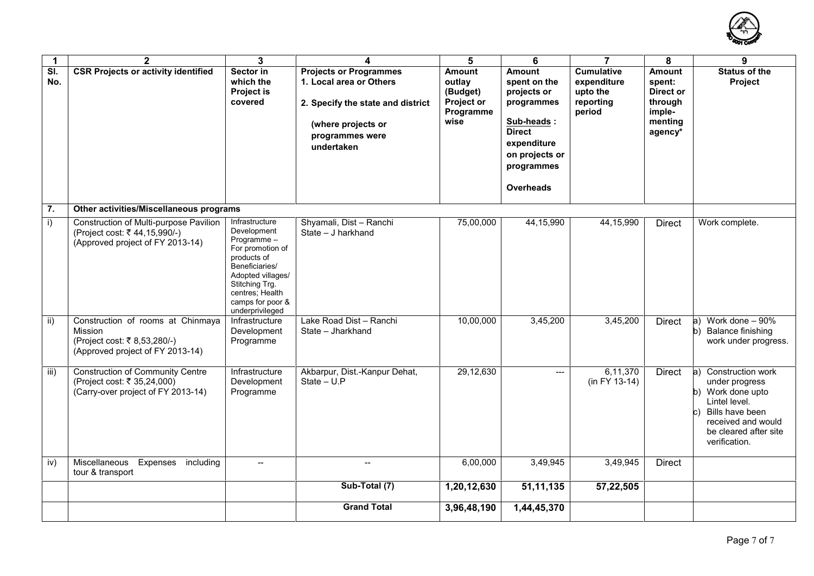

| $\mathbf{1}$     | $\overline{2}$                                                                                                   | 3                                                                                                                                                                                                 | 4                                                                                                                                                    | 5                                                                      | 6                                                                                                                                              | $\overline{7}$                                                      | 8                                                                               | 9                                                                                                                                                                           |
|------------------|------------------------------------------------------------------------------------------------------------------|---------------------------------------------------------------------------------------------------------------------------------------------------------------------------------------------------|------------------------------------------------------------------------------------------------------------------------------------------------------|------------------------------------------------------------------------|------------------------------------------------------------------------------------------------------------------------------------------------|---------------------------------------------------------------------|---------------------------------------------------------------------------------|-----------------------------------------------------------------------------------------------------------------------------------------------------------------------------|
| SI.<br>No.       | <b>CSR Projects or activity identified</b>                                                                       | Sector in<br>which the<br><b>Project is</b><br>covered                                                                                                                                            | <b>Projects or Programmes</b><br>1. Local area or Others<br>2. Specify the state and district<br>(where projects or<br>programmes were<br>undertaken | <b>Amount</b><br>outlay<br>(Budget)<br>Project or<br>Programme<br>wise | Amount<br>spent on the<br>projects or<br>programmes<br>Sub-heads:<br><b>Direct</b><br>expenditure<br>on projects or<br>programmes<br>Overheads | <b>Cumulative</b><br>expenditure<br>upto the<br>reporting<br>period | <b>Amount</b><br>spent:<br>Direct or<br>through<br>imple-<br>menting<br>agency* | <b>Status of the</b><br>Project                                                                                                                                             |
| $\overline{7}$ . | Other activities/Miscellaneous programs                                                                          |                                                                                                                                                                                                   |                                                                                                                                                      |                                                                        |                                                                                                                                                |                                                                     |                                                                                 |                                                                                                                                                                             |
| i)               | Construction of Multi-purpose Pavilion<br>(Project cost: ₹44,15,990/-)<br>(Approved project of FY 2013-14)       | Infrastructure<br>Development<br>Programme-<br>For promotion of<br>products of<br>Beneficiaries/<br>Adopted villages/<br>Stitching Trg.<br>centres; Health<br>camps for poor &<br>underprivileged | Shyamali, Dist - Ranchi<br>State - J harkhand                                                                                                        | 75,00,000                                                              | 44, 15, 990                                                                                                                                    | 44,15,990                                                           | <b>Direct</b>                                                                   | Work complete.                                                                                                                                                              |
| ii)              | Construction of rooms at Chinmaya<br>Mission<br>(Project cost: ₹ 8,53,280/-)<br>(Approved project of FY 2013-14) | Infrastructure<br>Development<br>Programme                                                                                                                                                        | Lake Road Dist - Ranchi<br>State - Jharkhand                                                                                                         | 10,00,000                                                              | 3,45,200                                                                                                                                       | 3,45,200                                                            | <b>Direct</b>                                                                   | Work done - 90%<br> a)<br><b>Balance finishing</b><br>b)<br>work under progress.                                                                                            |
| iii)             | <b>Construction of Community Centre</b><br>(Project cost: ₹ 35,24,000)<br>(Carry-over project of FY 2013-14)     | Infrastructure<br>Development<br>Programme                                                                                                                                                        | Akbarpur, Dist.-Kanpur Dehat,<br>State $- U.P$                                                                                                       | 29,12,630                                                              | ---                                                                                                                                            | 6,11,370<br>$(in FY 13-14)$                                         | <b>Direct</b>                                                                   | $ a\rangle$<br>Construction work<br>under progress<br>b) Work done upto<br>Lintel level.<br>Bills have been<br>received and would<br>be cleared after site<br>verification. |
| iv)              | Miscellaneous<br>Expenses including<br>tour & transport                                                          | $\overline{\phantom{a}}$                                                                                                                                                                          | $\overline{\phantom{a}}$                                                                                                                             | 6,00,000                                                               | 3,49,945                                                                                                                                       | 3,49,945                                                            | <b>Direct</b>                                                                   |                                                                                                                                                                             |
|                  |                                                                                                                  |                                                                                                                                                                                                   | Sub-Total (7)                                                                                                                                        | 1,20,12,630                                                            | 51,11,135                                                                                                                                      | 57,22,505                                                           |                                                                                 |                                                                                                                                                                             |
|                  |                                                                                                                  |                                                                                                                                                                                                   | <b>Grand Total</b>                                                                                                                                   | 3,96,48,190                                                            | 1,44,45,370                                                                                                                                    |                                                                     |                                                                                 |                                                                                                                                                                             |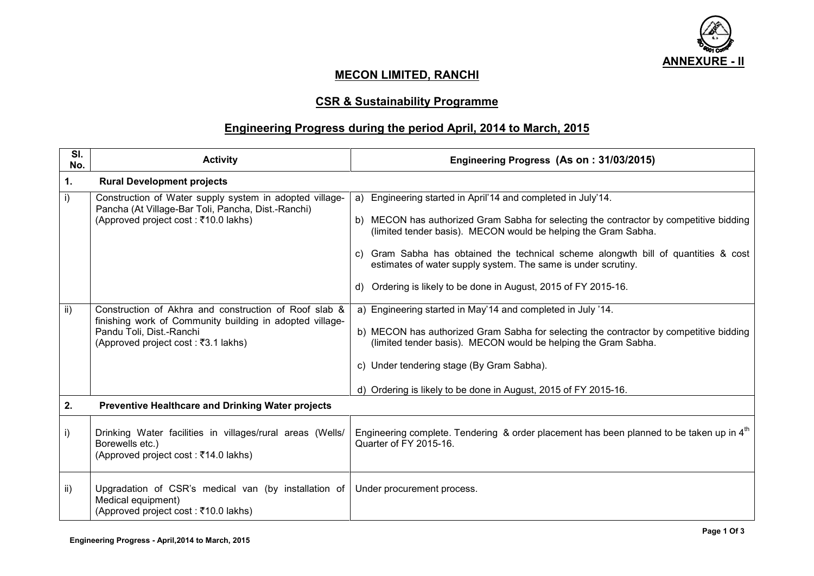

## **MECON LIMITED, RANCHI**

# **CSR & Sustainability Programme**

## **Engineering Progress during the period April, 2014 to March, 2015**

| SI.<br>No. | <b>Activity</b>                                                                                                                                                                       | Engineering Progress (As on: 31/03/2015)                                                                                                                                                                                                                                                                                                                                                                                                           |
|------------|---------------------------------------------------------------------------------------------------------------------------------------------------------------------------------------|----------------------------------------------------------------------------------------------------------------------------------------------------------------------------------------------------------------------------------------------------------------------------------------------------------------------------------------------------------------------------------------------------------------------------------------------------|
| 1.         | <b>Rural Development projects</b>                                                                                                                                                     |                                                                                                                                                                                                                                                                                                                                                                                                                                                    |
| i)         | Construction of Water supply system in adopted village-<br>Pancha (At Village-Bar Toli, Pancha, Dist.-Ranchi)<br>(Approved project cost : ₹10.0 lakhs)                                | a) Engineering started in April'14 and completed in July'14.<br>b) MECON has authorized Gram Sabha for selecting the contractor by competitive bidding<br>(limited tender basis). MECON would be helping the Gram Sabha.<br>c) Gram Sabha has obtained the technical scheme alongwth bill of quantities & cost<br>estimates of water supply system. The same is under scrutiny.<br>d) Ordering is likely to be done in August, 2015 of FY 2015-16. |
| ii)        | Construction of Akhra and construction of Roof slab &<br>finishing work of Community building in adopted village-<br>Pandu Toli, Dist.-Ranchi<br>(Approved project cost : ₹3.1 lakhs) | a) Engineering started in May'14 and completed in July '14.<br>b) MECON has authorized Gram Sabha for selecting the contractor by competitive bidding<br>(limited tender basis). MECON would be helping the Gram Sabha.<br>c) Under tendering stage (By Gram Sabha).<br>d) Ordering is likely to be done in August, 2015 of FY 2015-16.                                                                                                            |
| 2.         | <b>Preventive Healthcare and Drinking Water projects</b>                                                                                                                              |                                                                                                                                                                                                                                                                                                                                                                                                                                                    |
| i)         | Drinking Water facilities in villages/rural areas (Wells/<br>Borewells etc.)<br>(Approved project cost : ₹14.0 lakhs)                                                                 | Engineering complete. Tendering & order placement has been planned to be taken up in 4 <sup>th</sup><br>Quarter of FY 2015-16.                                                                                                                                                                                                                                                                                                                     |
| ii)        | Upgradation of CSR's medical van (by installation of<br>Medical equipment)<br>(Approved project cost : ₹10.0 lakhs)                                                                   | Under procurement process.                                                                                                                                                                                                                                                                                                                                                                                                                         |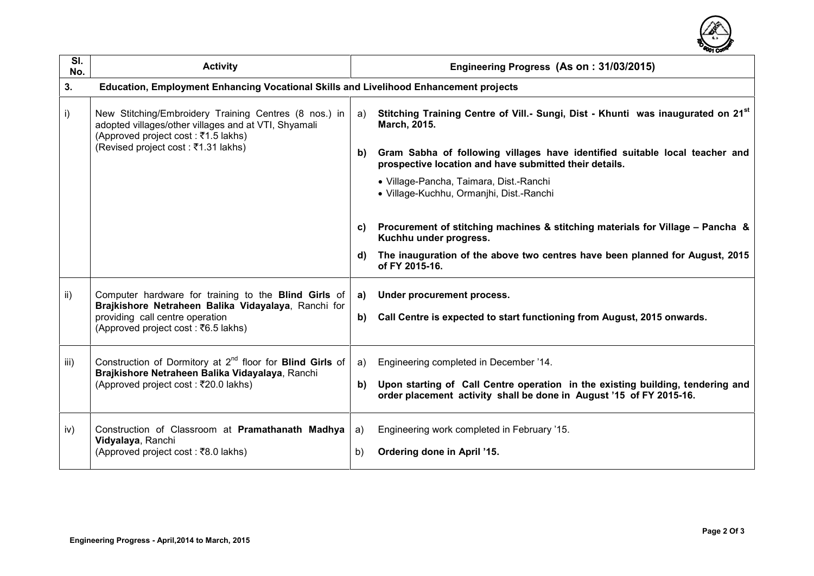

| SI.<br>No. | <b>Activity</b>                                                                                                                                                                        |    | Engineering Progress (As on: 31/03/2015)                                                                                                                    |  |  |  |  |
|------------|----------------------------------------------------------------------------------------------------------------------------------------------------------------------------------------|----|-------------------------------------------------------------------------------------------------------------------------------------------------------------|--|--|--|--|
| 3.         | Education, Employment Enhancing Vocational Skills and Livelihood Enhancement projects                                                                                                  |    |                                                                                                                                                             |  |  |  |  |
| i)         | New Stitching/Embroidery Training Centres (8 nos.) in<br>adopted villages/other villages and at VTI, Shyamali<br>(Approved project cost : ₹1.5 lakhs)                                  | a) | Stitching Training Centre of Vill.- Sungi, Dist - Khunti was inaugurated on 21 <sup>st</sup><br>March, 2015.                                                |  |  |  |  |
|            | (Revised project cost : ₹1.31 lakhs)                                                                                                                                                   | b) | Gram Sabha of following villages have identified suitable local teacher and<br>prospective location and have submitted their details.                       |  |  |  |  |
|            |                                                                                                                                                                                        |    | · Village-Pancha, Taimara, Dist.-Ranchi<br>· Village-Kuchhu, Ormanihi, Dist.-Ranchi                                                                         |  |  |  |  |
|            |                                                                                                                                                                                        | C) | Procurement of stitching machines & stitching materials for Village - Pancha &<br>Kuchhu under progress.                                                    |  |  |  |  |
|            |                                                                                                                                                                                        | d) | The inauguration of the above two centres have been planned for August, 2015<br>of FY 2015-16.                                                              |  |  |  |  |
| ii)        | Computer hardware for training to the Blind Girls of<br>Brajkishore Netraheen Balika Vidayalaya, Ranchi for<br>providing call centre operation<br>(Approved project cost : ₹6.5 lakhs) | a) | Under procurement process.                                                                                                                                  |  |  |  |  |
|            |                                                                                                                                                                                        | b) | Call Centre is expected to start functioning from August, 2015 onwards.                                                                                     |  |  |  |  |
| iii)       | Construction of Dormitory at $2^{nd}$ floor for <b>Blind Girls</b> of<br>Brajkishore Netraheen Balika Vidayalaya, Ranchi                                                               | a) | Engineering completed in December '14.                                                                                                                      |  |  |  |  |
|            | (Approved project cost : ₹20.0 lakhs)                                                                                                                                                  |    | b)<br>Upon starting of Call Centre operation in the existing building, tendering and<br>order placement activity shall be done in August '15 of FY 2015-16. |  |  |  |  |
| iv)        | Construction of Classroom at Pramathanath Madhya<br>Vidyalaya, Ranchi                                                                                                                  | a) | Engineering work completed in February '15.                                                                                                                 |  |  |  |  |
|            | (Approved project cost : ₹8.0 lakhs)                                                                                                                                                   | b) | Ordering done in April '15.                                                                                                                                 |  |  |  |  |